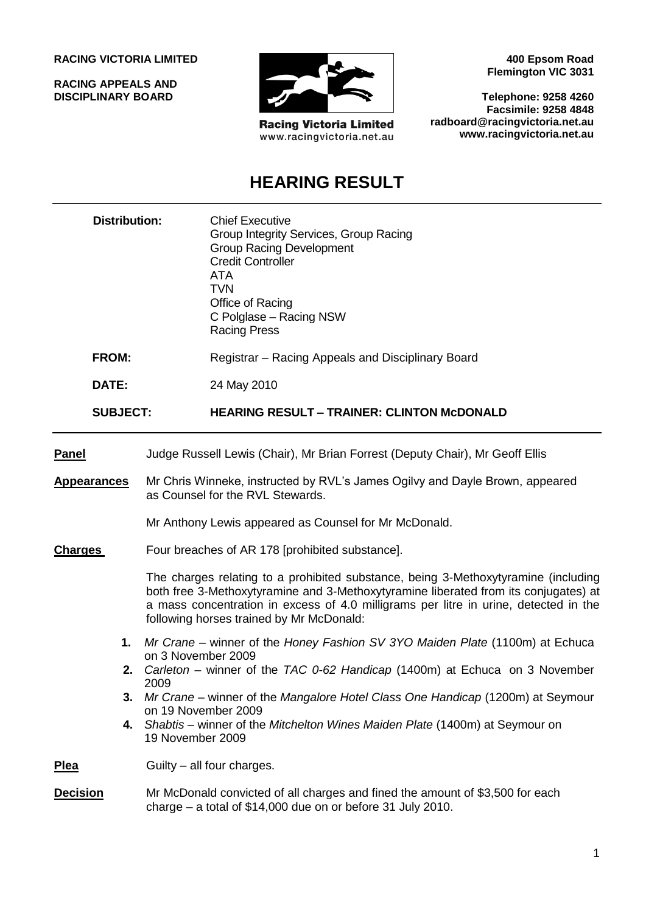#### **RACING VICTORIA LIMITED**

**RACING APPEALS AND DISCIPLINARY BOARD**



**Racing Victoria Limited** www.racingvictoria.net.au

**400 Epsom Road Flemington VIC 3031**

**Telephone: 9258 4260 Facsimile: 9258 4848 radboard@racingvictoria.net.au www.racingvictoria.net.au**

# **HEARING RESULT**

|                                                 | <b>Distribution:</b> |                                                                                                                                                                                                                                                                                                                                                                                                      | <b>Chief Executive</b><br>Group Integrity Services, Group Racing<br><b>Group Racing Development</b><br><b>Credit Controller</b><br><b>ATA</b><br><b>TVN</b><br>Office of Racing<br>C Polglase - Racing NSW<br><b>Racing Press</b> |      |
|-------------------------------------------------|----------------------|------------------------------------------------------------------------------------------------------------------------------------------------------------------------------------------------------------------------------------------------------------------------------------------------------------------------------------------------------------------------------------------------------|-----------------------------------------------------------------------------------------------------------------------------------------------------------------------------------------------------------------------------------|------|
|                                                 | <b>FROM:</b>         |                                                                                                                                                                                                                                                                                                                                                                                                      | Registrar – Racing Appeals and Disciplinary Board                                                                                                                                                                                 |      |
| DATE:<br><b>SUBJECT:</b>                        |                      |                                                                                                                                                                                                                                                                                                                                                                                                      | 24 May 2010                                                                                                                                                                                                                       |      |
|                                                 |                      |                                                                                                                                                                                                                                                                                                                                                                                                      | <b>HEARING RESULT - TRAINER: CLINTON McDONALD</b>                                                                                                                                                                                 |      |
| Panel                                           |                      |                                                                                                                                                                                                                                                                                                                                                                                                      | Judge Russell Lewis (Chair), Mr Brian Forrest (Deputy Chair), Mr Geoff Ellis                                                                                                                                                      |      |
| <u>Appearances</u><br>Charges<br>1.<br>2.<br>4. |                      | Mr Chris Winneke, instructed by RVL's James Ogilvy and Dayle Brown, appeared<br>as Counsel for the RVL Stewards.                                                                                                                                                                                                                                                                                     |                                                                                                                                                                                                                                   |      |
|                                                 |                      | Mr Anthony Lewis appeared as Counsel for Mr McDonald.                                                                                                                                                                                                                                                                                                                                                |                                                                                                                                                                                                                                   |      |
|                                                 |                      | Four breaches of AR 178 [prohibited substance].                                                                                                                                                                                                                                                                                                                                                      |                                                                                                                                                                                                                                   |      |
|                                                 |                      | The charges relating to a prohibited substance, being 3-Methoxytyramine (including<br>both free 3-Methoxytyramine and 3-Methoxytyramine liberated from its conjugates) at<br>a mass concentration in excess of 4.0 milligrams per litre in urine, detected in the<br>following horses trained by Mr McDonald:                                                                                        |                                                                                                                                                                                                                                   |      |
|                                                 |                      | Mr Crane – winner of the Honey Fashion SV 3YO Maiden Plate (1100m) at Echuca<br>on 3 November 2009<br>Carleton – winner of the TAC 0-62 Handicap (1400m) at Echuca on 3 November<br>2009<br>Mr Crane – winner of the Mangalore Hotel Class One Handicap (1200m) at Seymour<br>on 19 November 2009<br>Shabtis – winner of the Mitchelton Wines Maiden Plate (1400m) at Seymour on<br>19 November 2009 |                                                                                                                                                                                                                                   |      |
|                                                 |                      |                                                                                                                                                                                                                                                                                                                                                                                                      |                                                                                                                                                                                                                                   | Plea |
| <b>Decision</b>                                 |                      |                                                                                                                                                                                                                                                                                                                                                                                                      | Mr McDonald convicted of all charges and fined the amount of \$3,500 for each<br>charge $-$ a total of \$14,000 due on or before 31 July 2010.                                                                                    |      |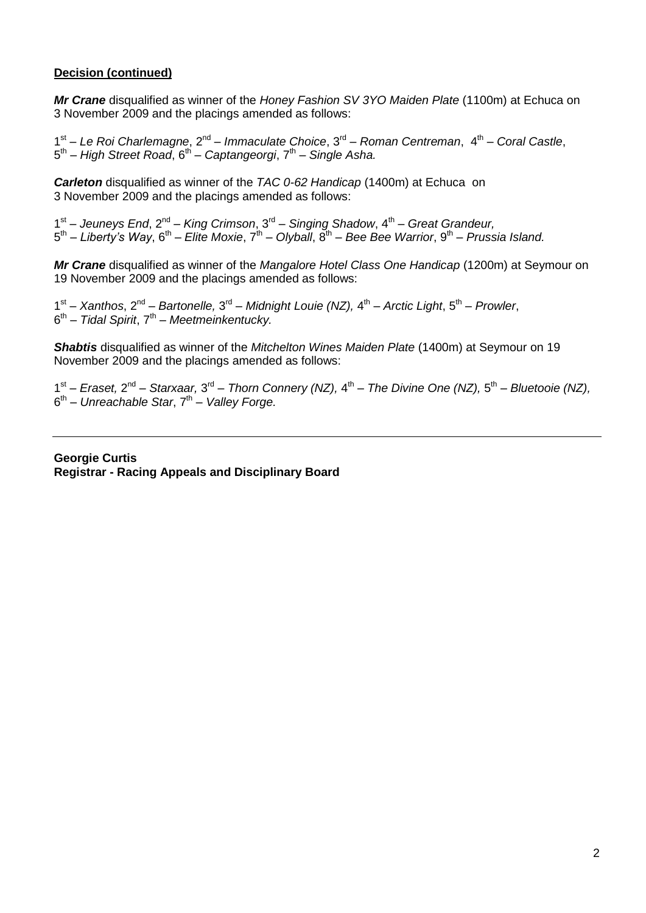#### **Decision (continued)**

*Mr Crane* disqualified as winner of the *Honey Fashion SV 3YO Maiden Plate* (1100m) at Echuca on 3 November 2009 and the placings amended as follows:

1<sup>st</sup> – Le Roi Charlemagne, 2<sup>nd</sup> – Immaculate Choice, 3<sup>rd</sup> – Roman Centreman, 4<sup>th</sup> – Coral Castle, 5<sup>th</sup> – High Street Road, 6<sup>th</sup> – Captangeorgi, 7<sup>th</sup> – Single Asha.

*Carleton* disqualified as winner of the *TAC 0-62 Handicap* (1400m) at Echuca on 3 November 2009 and the placings amended as follows:

1<sup>st</sup> – Jeuneys End, 2<sup>nd</sup> – King Crimson, 3<sup>rd</sup> – Singing Shadow, 4<sup>th</sup> – Great Grandeur, 5<sup>th</sup> – Liberty's Way, 6<sup>th</sup> – Elite Moxie, 7<sup>th</sup> – Olyball, 8<sup>th</sup> – Bee Bee Warrior, 9<sup>th</sup> – Prussia Island.

*Mr Crane* disqualified as winner of the *Mangalore Hotel Class One Handicap* (1200m) at Seymour on 19 November 2009 and the placings amended as follows:

1<sup>st</sup> – Xanthos, 2<sup>nd</sup> – Bartonelle, 3<sup>rd</sup> – Midnight Louie (NZ), 4<sup>th</sup> – Arctic Light, 5<sup>th</sup> – Prowler, 6<sup>th</sup> – Tidal Spirit, 7<sup>th</sup> – Meetmeinkentucky.

*Shabtis* disqualified as winner of the *Mitchelton Wines Maiden Plate* (1400m) at Seymour on 19 November 2009 and the placings amended as follows:

1<sup>st</sup> – *Eraset,* 2<sup>nd</sup> – Starxaar, 3<sup>rd</sup> – Thorn Connery (NZ), 4<sup>th</sup> – The Divine One (NZ), 5<sup>th</sup> – Bluetooie (NZ), 6<sup>th</sup> – Unreachable Star, 7<sup>th</sup> – Valley Forge.

**Georgie Curtis Registrar - Racing Appeals and Disciplinary Board**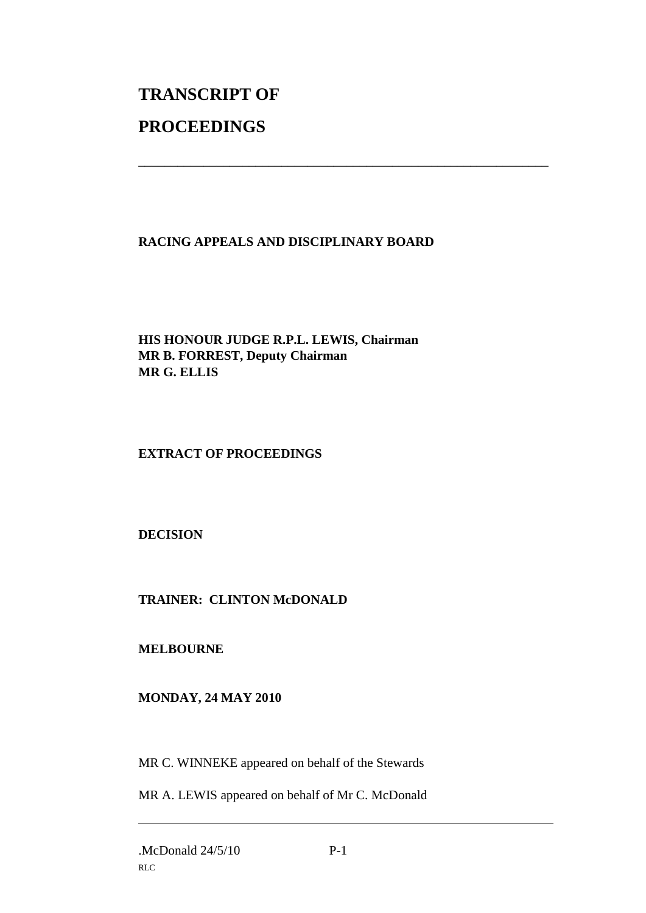# **TRANSCRIPT OF PROCEEDINGS**

### **RACING APPEALS AND DISCIPLINARY BOARD**

\_\_\_\_\_\_\_\_\_\_\_\_\_\_\_\_\_\_\_\_\_\_\_\_\_\_\_\_\_\_\_\_\_\_\_\_\_\_\_\_\_\_\_\_\_\_\_\_\_\_\_\_\_\_\_\_\_\_\_\_\_\_\_

**HIS HONOUR JUDGE R.P.L. LEWIS, Chairman MR B. FORREST, Deputy Chairman MR G. ELLIS**

## **EXTRACT OF PROCEEDINGS**

**DECISION**

### **TRAINER: CLINTON McDONALD**

**MELBOURNE**

### **MONDAY, 24 MAY 2010**

MR C. WINNEKE appeared on behalf of the Stewards

MR A. LEWIS appeared on behalf of Mr C. McDonald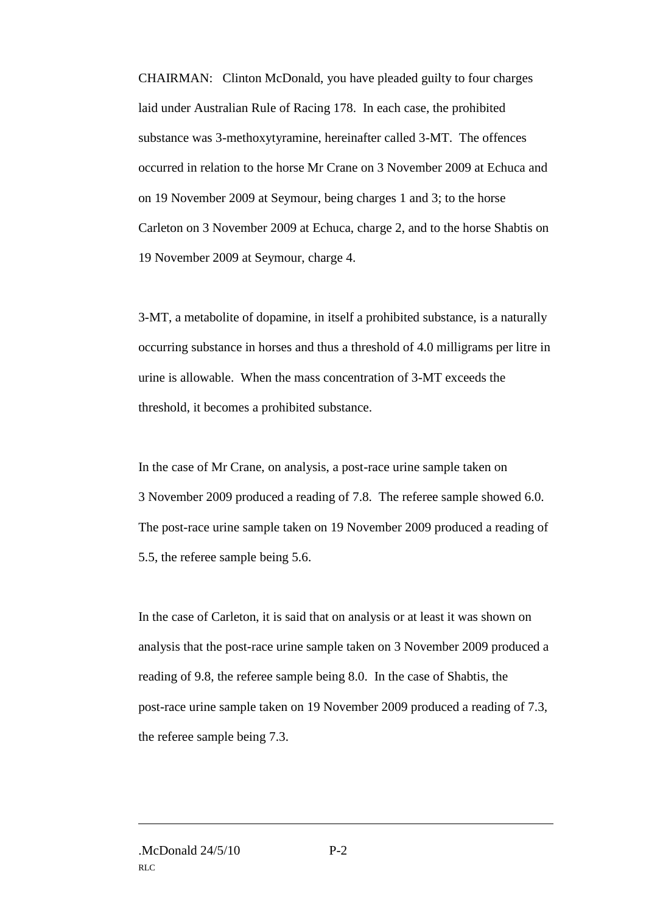CHAIRMAN: Clinton McDonald, you have pleaded guilty to four charges laid under Australian Rule of Racing 178. In each case, the prohibited substance was 3-methoxytyramine, hereinafter called 3-MT. The offences occurred in relation to the horse Mr Crane on 3 November 2009 at Echuca and on 19 November 2009 at Seymour, being charges 1 and 3; to the horse Carleton on 3 November 2009 at Echuca, charge 2, and to the horse Shabtis on 19 November 2009 at Seymour, charge 4.

3-MT, a metabolite of dopamine, in itself a prohibited substance, is a naturally occurring substance in horses and thus a threshold of 4.0 milligrams per litre in urine is allowable. When the mass concentration of 3-MT exceeds the threshold, it becomes a prohibited substance.

In the case of Mr Crane, on analysis, a post-race urine sample taken on 3 November 2009 produced a reading of 7.8. The referee sample showed 6.0. The post-race urine sample taken on 19 November 2009 produced a reading of 5.5, the referee sample being 5.6.

In the case of Carleton, it is said that on analysis or at least it was shown on analysis that the post-race urine sample taken on 3 November 2009 produced a reading of 9.8, the referee sample being 8.0. In the case of Shabtis, the post-race urine sample taken on 19 November 2009 produced a reading of 7.3, the referee sample being 7.3.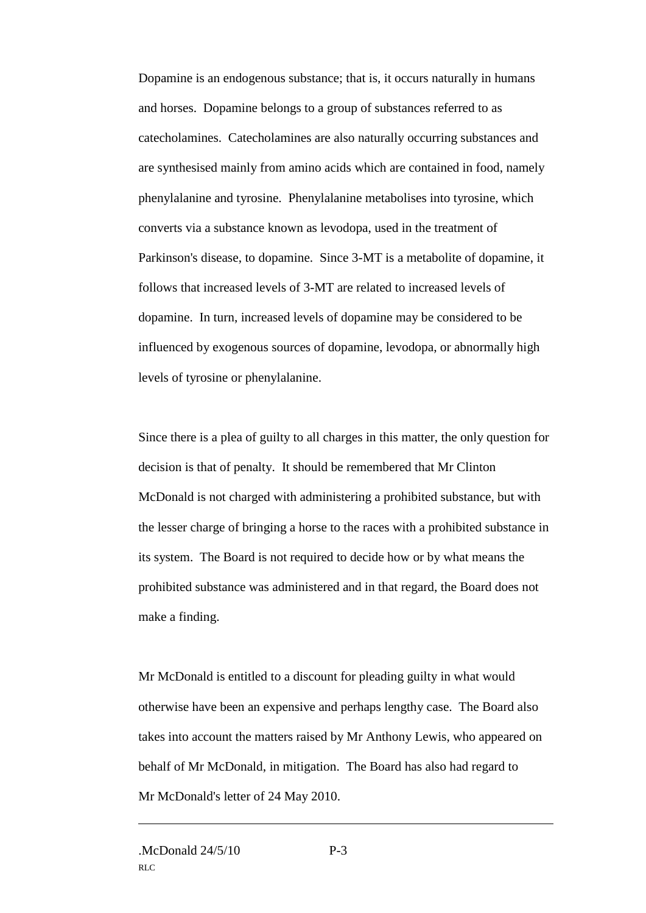Dopamine is an endogenous substance; that is, it occurs naturally in humans and horses. Dopamine belongs to a group of substances referred to as catecholamines. Catecholamines are also naturally occurring substances and are synthesised mainly from amino acids which are contained in food, namely phenylalanine and tyrosine. Phenylalanine metabolises into tyrosine, which converts via a substance known as levodopa, used in the treatment of Parkinson's disease, to dopamine. Since 3-MT is a metabolite of dopamine, it follows that increased levels of 3-MT are related to increased levels of dopamine. In turn, increased levels of dopamine may be considered to be influenced by exogenous sources of dopamine, levodopa, or abnormally high levels of tyrosine or phenylalanine.

Since there is a plea of guilty to all charges in this matter, the only question for decision is that of penalty. It should be remembered that Mr Clinton McDonald is not charged with administering a prohibited substance, but with the lesser charge of bringing a horse to the races with a prohibited substance in its system. The Board is not required to decide how or by what means the prohibited substance was administered and in that regard, the Board does not make a finding.

Mr McDonald is entitled to a discount for pleading guilty in what would otherwise have been an expensive and perhaps lengthy case. The Board also takes into account the matters raised by Mr Anthony Lewis, who appeared on behalf of Mr McDonald, in mitigation. The Board has also had regard to Mr McDonald's letter of 24 May 2010.